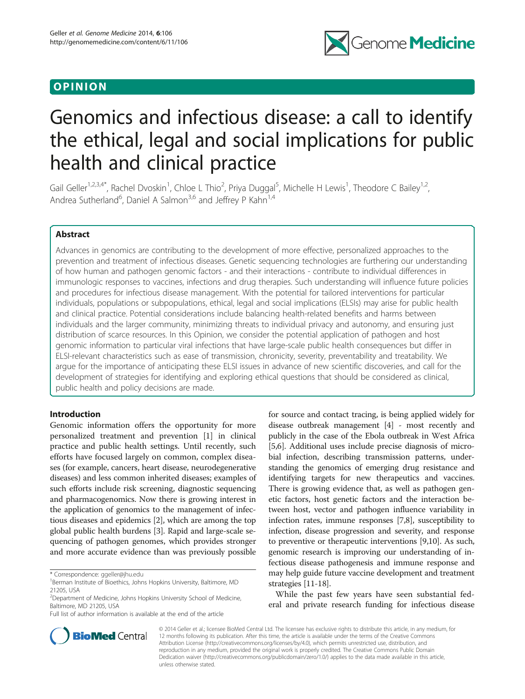## **OPINION**



# Genomics and infectious disease: a call to identify the ethical, legal and social implications for public health and clinical practice

Gail Geller<sup>1,2,3,4\*</sup>, Rachel Dvoskin<sup>1</sup>, Chloe L Thio<sup>2</sup>, Priya Duggal<sup>5</sup>, Michelle H Lewis<sup>1</sup>, Theodore C Bailey<sup>1,2</sup>, Andrea Sutherland<sup>6</sup>, Daniel A Salmon<sup>3,6</sup> and Jeffrey P Kahn<sup>1,4</sup>

## Abstract

Advances in genomics are contributing to the development of more effective, personalized approaches to the prevention and treatment of infectious diseases. Genetic sequencing technologies are furthering our understanding of how human and pathogen genomic factors - and their interactions - contribute to individual differences in immunologic responses to vaccines, infections and drug therapies. Such understanding will influence future policies and procedures for infectious disease management. With the potential for tailored interventions for particular individuals, populations or subpopulations, ethical, legal and social implications (ELSIs) may arise for public health and clinical practice. Potential considerations include balancing health-related benefits and harms between individuals and the larger community, minimizing threats to individual privacy and autonomy, and ensuring just distribution of scarce resources. In this Opinion, we consider the potential application of pathogen and host genomic information to particular viral infections that have large-scale public health consequences but differ in ELSI-relevant characteristics such as ease of transmission, chronicity, severity, preventability and treatability. We argue for the importance of anticipating these ELSI issues in advance of new scientific discoveries, and call for the development of strategies for identifying and exploring ethical questions that should be considered as clinical, public health and policy decisions are made.

### Introduction

Genomic information offers the opportunity for more personalized treatment and prevention [[1\]](#page-9-0) in clinical practice and public health settings. Until recently, such efforts have focused largely on common, complex diseases (for example, cancers, heart disease, neurodegenerative diseases) and less common inherited diseases; examples of such efforts include risk screening, diagnostic sequencing and pharmacogenomics. Now there is growing interest in the application of genomics to the management of infectious diseases and epidemics [\[2\]](#page-9-0), which are among the top global public health burdens [\[3](#page-9-0)]. Rapid and large-scale sequencing of pathogen genomes, which provides stronger and more accurate evidence than was previously possible

for source and contact tracing, is being applied widely for disease outbreak management [\[4\]](#page-9-0) - most recently and publicly in the case of the Ebola outbreak in West Africa [[5,](#page-9-0)[6\]](#page-10-0). Additional uses include precise diagnosis of microbial infection, describing transmission patterns, understanding the genomics of emerging drug resistance and identifying targets for new therapeutics and vaccines. There is growing evidence that, as well as pathogen genetic factors, host genetic factors and the interaction between host, vector and pathogen influence variability in infection rates, immune responses [\[7,8](#page-10-0)], susceptibility to infection, disease progression and severity, and response to preventive or therapeutic interventions [\[9,10\]](#page-10-0). As such, genomic research is improving our understanding of infectious disease pathogenesis and immune response and may help guide future vaccine development and treatment strategies [[11](#page-10-0)-[18](#page-10-0)].

While the past few years have seen substantial federal and private research funding for infectious disease



© 2014 Geller et al.; licensee BioMed Central Ltd. The licensee has exclusive rights to distribute this article, in any medium, for 12 months following its publication. After this time, the article is available under the terms of the Creative Commons Attribution License (<http://creativecommons.org/licenses/by/4.0>), which permits unrestricted use, distribution, and reproduction in any medium, provided the original work is properly credited. The Creative Commons Public Domain Dedication waiver [\(http://creativecommons.org/publicdomain/zero/1.0/](http://creativecommons.org/publicdomain/zero/1.0/)) applies to the data made available in this article, unless otherwise stated.

<sup>\*</sup> Correspondence: [ggeller@jhu.edu](mailto:ggeller@jhu.edu) <sup>1</sup>

<sup>&</sup>lt;sup>1</sup>Berman Institute of Bioethics, Johns Hopkins University, Baltimore, MD 21205, USA

<sup>&</sup>lt;sup>2</sup> Department of Medicine, Johns Hopkins University School of Medicine, Baltimore, MD 21205, USA

Full list of author information is available at the end of the article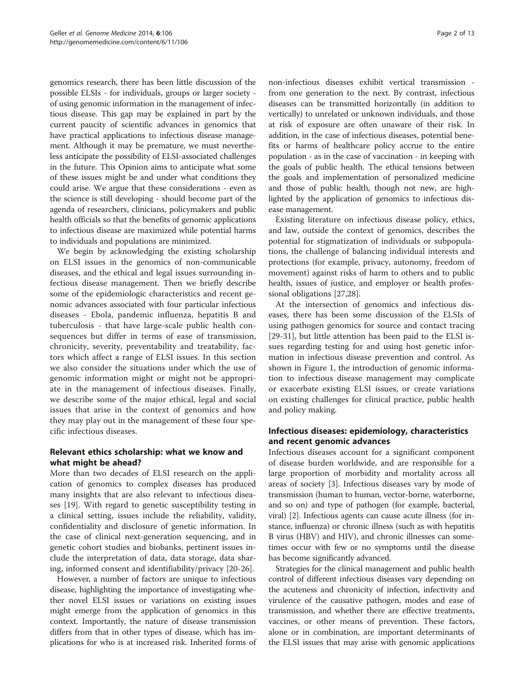genomics research, there has been little discussion of the possible ELSIs - for individuals, groups or larger society of using genomic information in the management of infectious disease. This gap may be explained in part by the current paucity of scientific advances in genomics that have practical applications to infectious disease management. Although it may be premature, we must nevertheless anticipate the possibility of ELSI-associated challenges in the future. This Opinion aims to anticipate what some of these issues might be and under what conditions they could arise. We argue that these considerations - even as the science is still developing - should become part of the agenda of researchers, clinicians, policymakers and public health officials so that the benefits of genomic applications to infectious disease are maximized while potential harms to individuals and populations are minimized.

We begin by acknowledging the existing scholarship on ELSI issues in the genomics of non-communicable diseases, and the ethical and legal issues surrounding infectious disease management. Then we briefly describe some of the epidemiologic characteristics and recent genomic advances associated with four particular infectious diseases - Ebola, pandemic influenza, hepatitis B and tuberculosis - that have large-scale public health consequences but differ in terms of ease of transmission, chronicity, severity, preventability and treatability, factors which affect a range of ELSI issues. In this section we also consider the situations under which the use of genomic information might or might not be appropriate in the management of infectious diseases. Finally, we describe some of the major ethical, legal and social issues that arise in the context of genomics and how they may play out in the management of these four specific infectious diseases.

## Relevant ethics scholarship: what we know and what might be ahead?

More than two decades of ELSI research on the application of genomics to complex diseases has produced many insights that are also relevant to infectious diseases [[19\]](#page-10-0). With regard to genetic susceptibility testing in a clinical setting, issues include the reliability, validity, confidentiality and disclosure of genetic information. In the case of clinical next-generation sequencing, and in genetic cohort studies and biobanks, pertinent issues include the interpretation of data, data storage, data sharing, informed consent and identifiability/privacy [[20-26](#page-10-0)].

However, a number of factors are unique to infectious disease, highlighting the importance of investigating whether novel ELSI issues or variations on existing issues might emerge from the application of genomics in this context. Importantly, the nature of disease transmission differs from that in other types of disease, which has implications for who is at increased risk. Inherited forms of

non-infectious diseases exhibit vertical transmission from one generation to the next. By contrast, infectious diseases can be transmitted horizontally (in addition to vertically) to unrelated or unknown individuals, and those at risk of exposure are often unaware of their risk. In addition, in the case of infectious diseases, potential benefits or harms of healthcare policy accrue to the entire population - as in the case of vaccination - in keeping with the goals of public health. The ethical tensions between the goals and implementation of personalized medicine and those of public health, though not new, are highlighted by the application of genomics to infectious disease management.

Existing literature on infectious disease policy, ethics, and law, outside the context of genomics, describes the potential for stigmatization of individuals or subpopulations, the challenge of balancing individual interests and protections (for example, privacy, autonomy, freedom of movement) against risks of harm to others and to public health, issues of justice, and employer or health professional obligations [\[27,28\]](#page-10-0).

At the intersection of genomics and infectious diseases, there has been some discussion of the ELSIs of using pathogen genomics for source and contact tracing [[29-31](#page-10-0)], but little attention has been paid to the ELSI issues regarding testing for and using host genetic information in infectious disease prevention and control. As shown in Figure [1,](#page-2-0) the introduction of genomic information to infectious disease management may complicate or exacerbate existing ELSI issues, or create variations on existing challenges for clinical practice, public health and policy making.

## Infectious diseases: epidemiology, characteristics and recent genomic advances

Infectious diseases account for a significant component of disease burden worldwide, and are responsible for a large proportion of morbidity and mortality across all areas of society [[3\]](#page-9-0). Infectious diseases vary by mode of transmission (human to human, vector-borne, waterborne, and so on) and type of pathogen (for example, bacterial, viral) [\[2](#page-9-0)]. Infectious agents can cause acute illness (for instance, influenza) or chronic illness (such as with hepatitis B virus (HBV) and HIV), and chronic illnesses can sometimes occur with few or no symptoms until the disease has become significantly advanced.

Strategies for the clinical management and public health control of different infectious diseases vary depending on the acuteness and chronicity of infection, infectivity and virulence of the causative pathogen, modes and ease of transmission, and whether there are effective treatments, vaccines, or other means of prevention. These factors, alone or in combination, are important determinants of the ELSI issues that may arise with genomic applications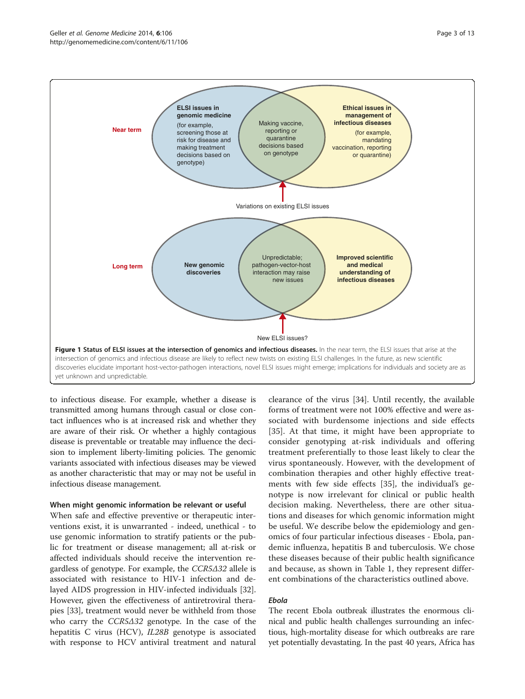<span id="page-2-0"></span>

to infectious disease. For example, whether a disease is transmitted among humans through casual or close contact influences who is at increased risk and whether they are aware of their risk. Or whether a highly contagious disease is preventable or treatable may influence the decision to implement liberty-limiting policies. The genomic variants associated with infectious diseases may be viewed as another characteristic that may or may not be useful in infectious disease management.

#### When might genomic information be relevant or useful

When safe and effective preventive or therapeutic interventions exist, it is unwarranted - indeed, unethical - to use genomic information to stratify patients or the public for treatment or disease management; all at-risk or affected individuals should receive the intervention regardless of genotype. For example, the CCR5Δ32 allele is associated with resistance to HIV-1 infection and delayed AIDS progression in HIV-infected individuals [\[32](#page-10-0)]. However, given the effectiveness of antiretroviral therapies [\[33\]](#page-10-0), treatment would never be withheld from those who carry the CCR5Δ32 genotype. In the case of the hepatitis C virus (HCV), IL28B genotype is associated with response to HCV antiviral treatment and natural clearance of the virus [\[34](#page-10-0)]. Until recently, the available forms of treatment were not 100% effective and were associated with burdensome injections and side effects [[35\]](#page-10-0). At that time, it might have been appropriate to consider genotyping at-risk individuals and offering treatment preferentially to those least likely to clear the virus spontaneously. However, with the development of combination therapies and other highly effective treatments with few side effects [[35](#page-10-0)], the individual's genotype is now irrelevant for clinical or public health decision making. Nevertheless, there are other situations and diseases for which genomic information might be useful. We describe below the epidemiology and genomics of four particular infectious diseases - Ebola, pandemic influenza, hepatitis B and tuberculosis. We chose these diseases because of their public health significance and because, as shown in Table [1,](#page-3-0) they represent different combinations of the characteristics outlined above.

#### Ebola

The recent Ebola outbreak illustrates the enormous clinical and public health challenges surrounding an infectious, high-mortality disease for which outbreaks are rare yet potentially devastating. In the past 40 years, Africa has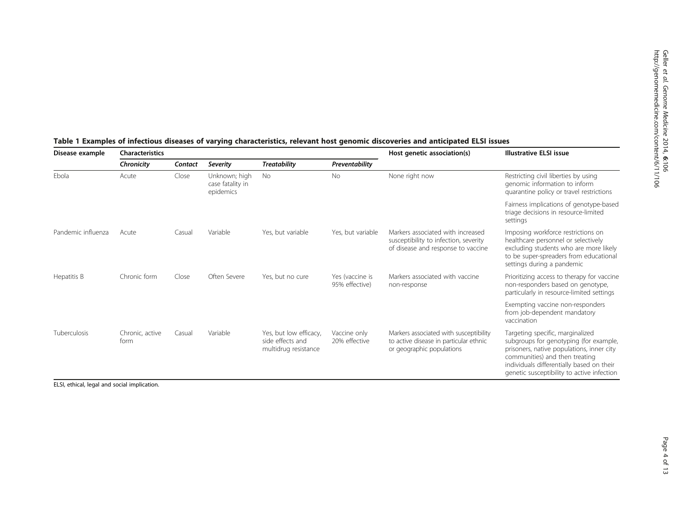| Disease example    | <b>Characteristics</b>  |         |                                                |                                                                    |                                   | Host genetic association(s)                                                                                      | <b>Illustrative ELSI issue</b>                                                                                                                                                                                                                       |
|--------------------|-------------------------|---------|------------------------------------------------|--------------------------------------------------------------------|-----------------------------------|------------------------------------------------------------------------------------------------------------------|------------------------------------------------------------------------------------------------------------------------------------------------------------------------------------------------------------------------------------------------------|
|                    | Chronicity              | Contact | <b>Severity</b>                                | <b>Treatability</b>                                                | Preventability                    |                                                                                                                  |                                                                                                                                                                                                                                                      |
| Ebola              | Acute                   | Close   | Unknown; high<br>case fatality in<br>epidemics | <b>No</b>                                                          | No.                               | None right now                                                                                                   | Restricting civil liberties by using<br>genomic information to inform<br>quarantine policy or travel restrictions                                                                                                                                    |
|                    |                         |         |                                                |                                                                    |                                   |                                                                                                                  | Fairness implications of genotype-based<br>triage decisions in resource-limited<br>settings                                                                                                                                                          |
| Pandemic influenza | Acute                   | Casual  | Variable                                       | Yes, but variable                                                  | Yes, but variable                 | Markers associated with increased<br>susceptibility to infection, severity<br>of disease and response to vaccine | Imposing workforce restrictions on<br>healthcare personnel or selectively<br>excluding students who are more likely<br>to be super-spreaders from educational<br>settings during a pandemic                                                          |
| Hepatitis B        | Chronic form            | Close   | Often Severe                                   | Yes, but no cure                                                   | Yes (vaccine is<br>95% effective) | Markers associated with vaccine<br>non-response                                                                  | Prioritizing access to therapy for vaccine<br>non-responders based on genotype,<br>particularly in resource-limited settings                                                                                                                         |
|                    |                         |         |                                                |                                                                    |                                   |                                                                                                                  | Exempting vaccine non-responders<br>from job-dependent mandatory<br>vaccination                                                                                                                                                                      |
| Tuberculosis       | Chronic, active<br>form | Casual  | Variable                                       | Yes, but low efficacy,<br>side effects and<br>multidrug resistance | Vaccine only<br>20% effective     | Markers associated with susceptibility<br>to active disease in particular ethnic<br>or geographic populations    | Targeting specific, marginalized<br>subgroups for genotyping (for example,<br>prisoners, native populations, inner city<br>communities) and then treating<br>individuals differentially based on their<br>genetic susceptibility to active infection |

#### <span id="page-3-0"></span>Table 1 Examples of infectious diseases of varying characteristics, relevant host genomic discoveries and anticipated ELSI issues

ELSI, ethical, legal and social implication.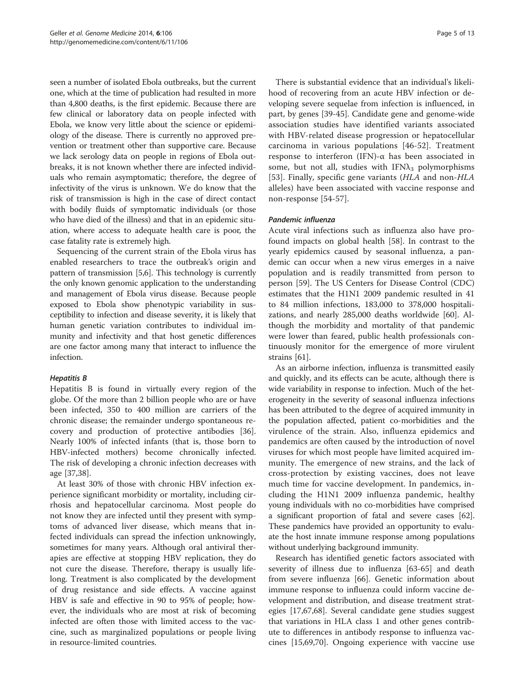seen a number of isolated Ebola outbreaks, but the current one, which at the time of publication had resulted in more than 4,800 deaths, is the first epidemic. Because there are few clinical or laboratory data on people infected with Ebola, we know very little about the science or epidemiology of the disease. There is currently no approved prevention or treatment other than supportive care. Because we lack serology data on people in regions of Ebola outbreaks, it is not known whether there are infected individuals who remain asymptomatic; therefore, the degree of infectivity of the virus is unknown. We do know that the risk of transmission is high in the case of direct contact with bodily fluids of symptomatic individuals (or those who have died of the illness) and that in an epidemic situation, where access to adequate health care is poor, the case fatality rate is extremely high.

Sequencing of the current strain of the Ebola virus has enabled researchers to trace the outbreak's origin and pattern of transmission [[5,](#page-9-0)[6\]](#page-10-0). This technology is currently the only known genomic application to the understanding and management of Ebola virus disease. Because people exposed to Ebola show phenotypic variability in susceptibility to infection and disease severity, it is likely that human genetic variation contributes to individual immunity and infectivity and that host genetic differences are one factor among many that interact to influence the infection.

### Hepatitis B

Hepatitis B is found in virtually every region of the globe. Of the more than 2 billion people who are or have been infected, 350 to 400 million are carriers of the chronic disease; the remainder undergo spontaneous recovery and production of protective antibodies [\[36](#page-10-0)]. Nearly 100% of infected infants (that is, those born to HBV-infected mothers) become chronically infected. The risk of developing a chronic infection decreases with age [\[37,38](#page-10-0)].

At least 30% of those with chronic HBV infection experience significant morbidity or mortality, including cirrhosis and hepatocellular carcinoma. Most people do not know they are infected until they present with symptoms of advanced liver disease, which means that infected individuals can spread the infection unknowingly, sometimes for many years. Although oral antiviral therapies are effective at stopping HBV replication, they do not cure the disease. Therefore, therapy is usually lifelong. Treatment is also complicated by the development of drug resistance and side effects. A vaccine against HBV is safe and effective in 90 to 95% of people; however, the individuals who are most at risk of becoming infected are often those with limited access to the vaccine, such as marginalized populations or people living in resource-limited countries.

There is substantial evidence that an individual's likelihood of recovering from an acute HBV infection or developing severe sequelae from infection is influenced, in part, by genes [[39-45](#page-10-0)]. Candidate gene and genome-wide association studies have identified variants associated with HBV-related disease progression or hepatocellular carcinoma in various populations [[46-](#page-10-0)[52\]](#page-11-0). Treatment response to interferon (IFN)-α has been associated in some, but not all, studies with  $IFN\lambda_3$  polymorphisms [[53\]](#page-11-0). Finally, specific gene variants (HLA and non-HLA alleles) have been associated with vaccine response and non-response [[54](#page-11-0)-[57\]](#page-11-0).

### Pandemic influenza

Acute viral infections such as influenza also have profound impacts on global health [\[58\]](#page-11-0). In contrast to the yearly epidemics caused by seasonal influenza, a pandemic can occur when a new virus emerges in a naive population and is readily transmitted from person to person [[59\]](#page-11-0). The US Centers for Disease Control (CDC) estimates that the H1N1 2009 pandemic resulted in 41 to 84 million infections, 183,000 to 378,000 hospitalizations, and nearly 285,000 deaths worldwide [[60\]](#page-11-0). Although the morbidity and mortality of that pandemic were lower than feared, public health professionals continuously monitor for the emergence of more virulent strains [[61](#page-11-0)].

As an airborne infection, influenza is transmitted easily and quickly, and its effects can be acute, although there is wide variability in response to infection. Much of the heterogeneity in the severity of seasonal influenza infections has been attributed to the degree of acquired immunity in the population affected, patient co-morbidities and the virulence of the strain. Also, influenza epidemics and pandemics are often caused by the introduction of novel viruses for which most people have limited acquired immunity. The emergence of new strains, and the lack of cross-protection by existing vaccines, does not leave much time for vaccine development. In pandemics, including the H1N1 2009 influenza pandemic, healthy young individuals with no co-morbidities have comprised a significant proportion of fatal and severe cases [[62](#page-11-0)]. These pandemics have provided an opportunity to evaluate the host innate immune response among populations without underlying background immunity.

Research has identified genetic factors associated with severity of illness due to influenza [\[63-65](#page-11-0)] and death from severe influenza [\[66](#page-11-0)]. Genetic information about immune response to influenza could inform vaccine development and distribution, and disease treatment strategies [\[17](#page-10-0)[,67,68\]](#page-11-0). Several candidate gene studies suggest that variations in HLA class 1 and other genes contribute to differences in antibody response to influenza vaccines [[15](#page-10-0)[,69,70](#page-11-0)]. Ongoing experience with vaccine use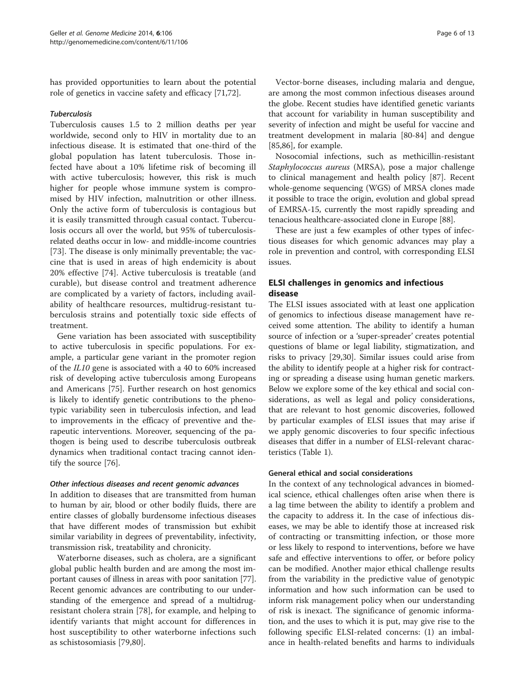has provided opportunities to learn about the potential role of genetics in vaccine safety and efficacy [\[71,72](#page-11-0)].

### Tuberculosis

Tuberculosis causes 1.5 to 2 million deaths per year worldwide, second only to HIV in mortality due to an infectious disease. It is estimated that one-third of the global population has latent tuberculosis. Those infected have about a 10% lifetime risk of becoming ill with active tuberculosis; however, this risk is much higher for people whose immune system is compromised by HIV infection, malnutrition or other illness. Only the active form of tuberculosis is contagious but it is easily transmitted through casual contact. Tuberculosis occurs all over the world, but 95% of tuberculosisrelated deaths occur in low- and middle-income countries [[73\]](#page-11-0). The disease is only minimally preventable; the vaccine that is used in areas of high endemicity is about 20% effective [[74\]](#page-11-0). Active tuberculosis is treatable (and curable), but disease control and treatment adherence are complicated by a variety of factors, including availability of healthcare resources, multidrug-resistant tuberculosis strains and potentially toxic side effects of treatment.

Gene variation has been associated with susceptibility to active tuberculosis in specific populations. For example, a particular gene variant in the promoter region of the IL10 gene is associated with a 40 to 60% increased risk of developing active tuberculosis among Europeans and Americans [[75\]](#page-11-0). Further research on host genomics is likely to identify genetic contributions to the phenotypic variability seen in tuberculosis infection, and lead to improvements in the efficacy of preventive and therapeutic interventions. Moreover, sequencing of the pathogen is being used to describe tuberculosis outbreak dynamics when traditional contact tracing cannot identify the source [\[76](#page-11-0)].

#### Other infectious diseases and recent genomic advances

In addition to diseases that are transmitted from human to human by air, blood or other bodily fluids, there are entire classes of globally burdensome infectious diseases that have different modes of transmission but exhibit similar variability in degrees of preventability, infectivity, transmission risk, treatability and chronicity.

Waterborne diseases, such as cholera, are a significant global public health burden and are among the most important causes of illness in areas with poor sanitation [[77](#page-11-0)]. Recent genomic advances are contributing to our understanding of the emergence and spread of a multidrugresistant cholera strain [[78\]](#page-11-0), for example, and helping to identify variants that might account for differences in host susceptibility to other waterborne infections such as schistosomiasis [\[79](#page-11-0),[80\]](#page-11-0).

Vector-borne diseases, including malaria and dengue, are among the most common infectious diseases around the globe. Recent studies have identified genetic variants that account for variability in human susceptibility and severity of infection and might be useful for vaccine and treatment development in malaria [\[80-84](#page-11-0)] and dengue [[85,86\]](#page-11-0), for example.

Nosocomial infections, such as methicillin-resistant Staphylococcus aureus (MRSA), pose a major challenge to clinical management and health policy [[87\]](#page-11-0). Recent whole-genome sequencing (WGS) of MRSA clones made it possible to trace the origin, evolution and global spread of EMRSA-15, currently the most rapidly spreading and tenacious healthcare-associated clone in Europe [[88](#page-12-0)].

These are just a few examples of other types of infectious diseases for which genomic advances may play a role in prevention and control, with corresponding ELSI issues.

## ELSI challenges in genomics and infectious disease

The ELSI issues associated with at least one application of genomics to infectious disease management have received some attention. The ability to identify a human source of infection or a 'super-spreader' creates potential questions of blame or legal liability, stigmatization, and risks to privacy [[29,30](#page-10-0)]. Similar issues could arise from the ability to identify people at a higher risk for contracting or spreading a disease using human genetic markers. Below we explore some of the key ethical and social considerations, as well as legal and policy considerations, that are relevant to host genomic discoveries, followed by particular examples of ELSI issues that may arise if we apply genomic discoveries to four specific infectious diseases that differ in a number of ELSI-relevant characteristics (Table [1](#page-3-0)).

#### General ethical and social considerations

In the context of any technological advances in biomedical science, ethical challenges often arise when there is a lag time between the ability to identify a problem and the capacity to address it. In the case of infectious diseases, we may be able to identify those at increased risk of contracting or transmitting infection, or those more or less likely to respond to interventions, before we have safe and effective interventions to offer, or before policy can be modified. Another major ethical challenge results from the variability in the predictive value of genotypic information and how such information can be used to inform risk management policy when our understanding of risk is inexact. The significance of genomic information, and the uses to which it is put, may give rise to the following specific ELSI-related concerns: (1) an imbalance in health-related benefits and harms to individuals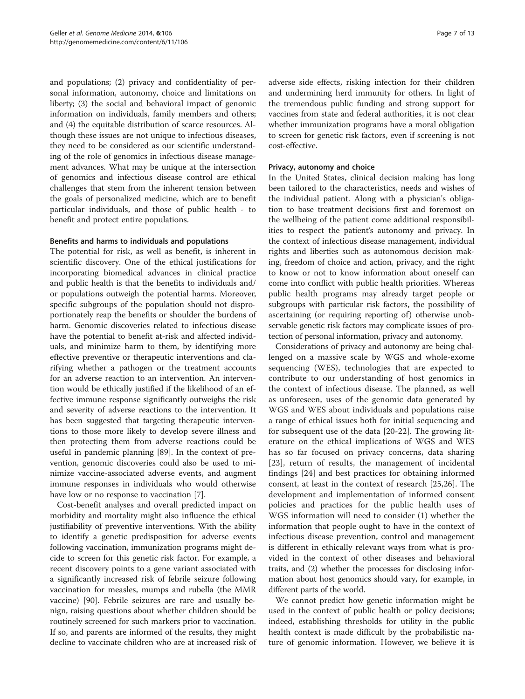and populations; (2) privacy and confidentiality of personal information, autonomy, choice and limitations on liberty; (3) the social and behavioral impact of genomic information on individuals, family members and others; and (4) the equitable distribution of scarce resources. Although these issues are not unique to infectious diseases, they need to be considered as our scientific understanding of the role of genomics in infectious disease management advances. What may be unique at the intersection of genomics and infectious disease control are ethical challenges that stem from the inherent tension between the goals of personalized medicine, which are to benefit particular individuals, and those of public health - to benefit and protect entire populations.

#### Benefits and harms to individuals and populations

The potential for risk, as well as benefit, is inherent in scientific discovery. One of the ethical justifications for incorporating biomedical advances in clinical practice and public health is that the benefits to individuals and/ or populations outweigh the potential harms. Moreover, specific subgroups of the population should not disproportionately reap the benefits or shoulder the burdens of harm. Genomic discoveries related to infectious disease have the potential to benefit at-risk and affected individuals, and minimize harm to them, by identifying more effective preventive or therapeutic interventions and clarifying whether a pathogen or the treatment accounts for an adverse reaction to an intervention. An intervention would be ethically justified if the likelihood of an effective immune response significantly outweighs the risk and severity of adverse reactions to the intervention. It has been suggested that targeting therapeutic interventions to those more likely to develop severe illness and then protecting them from adverse reactions could be useful in pandemic planning [\[89](#page-12-0)]. In the context of prevention, genomic discoveries could also be used to minimize vaccine-associated adverse events, and augment immune responses in individuals who would otherwise have low or no response to vaccination [\[7](#page-10-0)].

Cost-benefit analyses and overall predicted impact on morbidity and mortality might also influence the ethical justifiability of preventive interventions. With the ability to identify a genetic predisposition for adverse events following vaccination, immunization programs might decide to screen for this genetic risk factor. For example, a recent discovery points to a gene variant associated with a significantly increased risk of febrile seizure following vaccination for measles, mumps and rubella (the MMR vaccine) [[90\]](#page-12-0). Febrile seizures are rare and usually benign, raising questions about whether children should be routinely screened for such markers prior to vaccination. If so, and parents are informed of the results, they might decline to vaccinate children who are at increased risk of

adverse side effects, risking infection for their children and undermining herd immunity for others. In light of the tremendous public funding and strong support for vaccines from state and federal authorities, it is not clear whether immunization programs have a moral obligation to screen for genetic risk factors, even if screening is not cost-effective.

#### Privacy, autonomy and choice

In the United States, clinical decision making has long been tailored to the characteristics, needs and wishes of the individual patient. Along with a physician's obligation to base treatment decisions first and foremost on the wellbeing of the patient come additional responsibilities to respect the patient's autonomy and privacy. In the context of infectious disease management, individual rights and liberties such as autonomous decision making, freedom of choice and action, privacy, and the right to know or not to know information about oneself can come into conflict with public health priorities. Whereas public health programs may already target people or subgroups with particular risk factors, the possibility of ascertaining (or requiring reporting of) otherwise unobservable genetic risk factors may complicate issues of protection of personal information, privacy and autonomy.

Considerations of privacy and autonomy are being challenged on a massive scale by WGS and whole-exome sequencing (WES), technologies that are expected to contribute to our understanding of host genomics in the context of infectious disease. The planned, as well as unforeseen, uses of the genomic data generated by WGS and WES about individuals and populations raise a range of ethical issues both for initial sequencing and for subsequent use of the data [\[20](#page-10-0)-[22\]](#page-10-0). The growing literature on the ethical implications of WGS and WES has so far focused on privacy concerns, data sharing [[23\]](#page-10-0), return of results, the management of incidental findings [[24\]](#page-10-0) and best practices for obtaining informed consent, at least in the context of research [\[25,26](#page-10-0)]. The development and implementation of informed consent policies and practices for the public health uses of WGS information will need to consider (1) whether the information that people ought to have in the context of infectious disease prevention, control and management is different in ethically relevant ways from what is provided in the context of other diseases and behavioral traits, and (2) whether the processes for disclosing information about host genomics should vary, for example, in different parts of the world.

We cannot predict how genetic information might be used in the context of public health or policy decisions; indeed, establishing thresholds for utility in the public health context is made difficult by the probabilistic nature of genomic information. However, we believe it is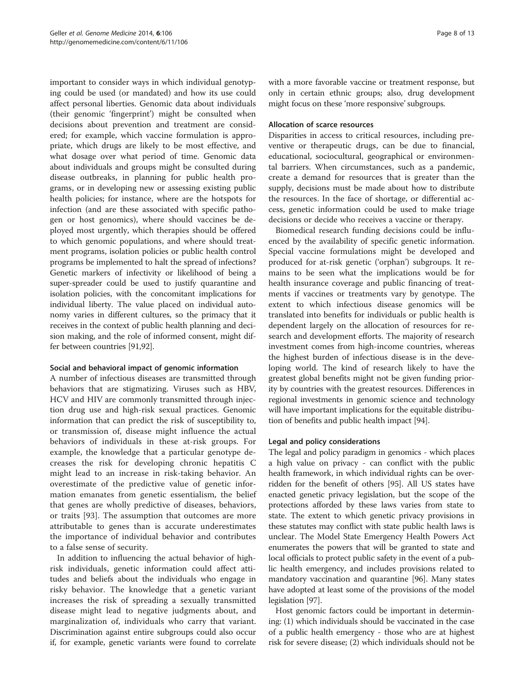important to consider ways in which individual genotyping could be used (or mandated) and how its use could affect personal liberties. Genomic data about individuals (their genomic 'fingerprint') might be consulted when decisions about prevention and treatment are considered; for example, which vaccine formulation is appropriate, which drugs are likely to be most effective, and what dosage over what period of time. Genomic data about individuals and groups might be consulted during disease outbreaks, in planning for public health programs, or in developing new or assessing existing public health policies; for instance, where are the hotspots for infection (and are these associated with specific pathogen or host genomics), where should vaccines be deployed most urgently, which therapies should be offered to which genomic populations, and where should treatment programs, isolation policies or public health control programs be implemented to halt the spread of infections? Genetic markers of infectivity or likelihood of being a super-spreader could be used to justify quarantine and isolation policies, with the concomitant implications for individual liberty. The value placed on individual autonomy varies in different cultures, so the primacy that it receives in the context of public health planning and decision making, and the role of informed consent, might differ between countries [[91,92\]](#page-12-0).

### Social and behavioral impact of genomic information

A number of infectious diseases are transmitted through behaviors that are stigmatizing. Viruses such as HBV, HCV and HIV are commonly transmitted through injection drug use and high-risk sexual practices. Genomic information that can predict the risk of susceptibility to, or transmission of, disease might influence the actual behaviors of individuals in these at-risk groups. For example, the knowledge that a particular genotype decreases the risk for developing chronic hepatitis C might lead to an increase in risk-taking behavior. An overestimate of the predictive value of genetic information emanates from genetic essentialism, the belief that genes are wholly predictive of diseases, behaviors, or traits [[93\]](#page-12-0). The assumption that outcomes are more attributable to genes than is accurate underestimates the importance of individual behavior and contributes to a false sense of security.

In addition to influencing the actual behavior of highrisk individuals, genetic information could affect attitudes and beliefs about the individuals who engage in risky behavior. The knowledge that a genetic variant increases the risk of spreading a sexually transmitted disease might lead to negative judgments about, and marginalization of, individuals who carry that variant. Discrimination against entire subgroups could also occur if, for example, genetic variants were found to correlate with a more favorable vaccine or treatment response, but only in certain ethnic groups; also, drug development might focus on these 'more responsive' subgroups.

#### Allocation of scarce resources

Disparities in access to critical resources, including preventive or therapeutic drugs, can be due to financial, educational, sociocultural, geographical or environmental barriers. When circumstances, such as a pandemic, create a demand for resources that is greater than the supply, decisions must be made about how to distribute the resources. In the face of shortage, or differential access, genetic information could be used to make triage decisions or decide who receives a vaccine or therapy.

Biomedical research funding decisions could be influenced by the availability of specific genetic information. Special vaccine formulations might be developed and produced for at-risk genetic ('orphan') subgroups. It remains to be seen what the implications would be for health insurance coverage and public financing of treatments if vaccines or treatments vary by genotype. The extent to which infectious disease genomics will be translated into benefits for individuals or public health is dependent largely on the allocation of resources for research and development efforts. The majority of research investment comes from high-income countries, whereas the highest burden of infectious disease is in the developing world. The kind of research likely to have the greatest global benefits might not be given funding priority by countries with the greatest resources. Differences in regional investments in genomic science and technology will have important implications for the equitable distribution of benefits and public health impact [[94](#page-12-0)].

#### Legal and policy considerations

The legal and policy paradigm in genomics - which places a high value on privacy - can conflict with the public health framework, in which individual rights can be overridden for the benefit of others [[95\]](#page-12-0). All US states have enacted genetic privacy legislation, but the scope of the protections afforded by these laws varies from state to state. The extent to which genetic privacy provisions in these statutes may conflict with state public health laws is unclear. The Model State Emergency Health Powers Act enumerates the powers that will be granted to state and local officials to protect public safety in the event of a public health emergency, and includes provisions related to mandatory vaccination and quarantine [\[96](#page-12-0)]. Many states have adopted at least some of the provisions of the model legislation [[97](#page-12-0)].

Host genomic factors could be important in determining: (1) which individuals should be vaccinated in the case of a public health emergency - those who are at highest risk for severe disease; (2) which individuals should not be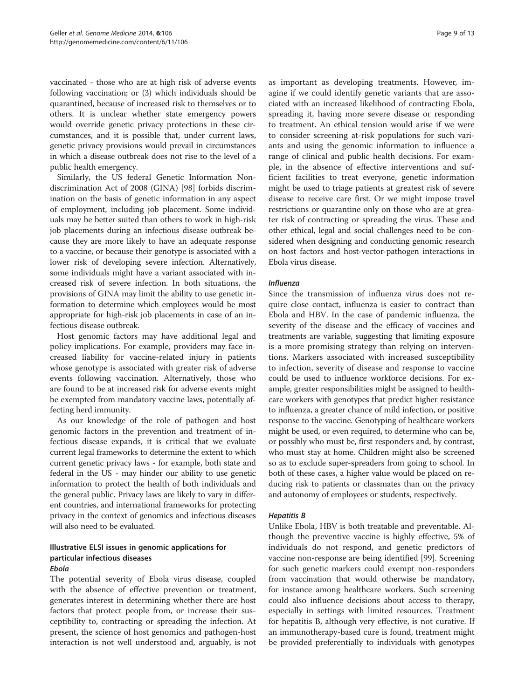vaccinated - those who are at high risk of adverse events following vaccination; or (3) which individuals should be quarantined, because of increased risk to themselves or to others. It is unclear whether state emergency powers would override genetic privacy protections in these circumstances, and it is possible that, under current laws, genetic privacy provisions would prevail in circumstances in which a disease outbreak does not rise to the level of a public health emergency.

Similarly, the US federal Genetic Information Nondiscrimination Act of 2008 (GINA) [[98](#page-12-0)] forbids discrimination on the basis of genetic information in any aspect of employment, including job placement. Some individuals may be better suited than others to work in high-risk job placements during an infectious disease outbreak because they are more likely to have an adequate response to a vaccine, or because their genotype is associated with a lower risk of developing severe infection. Alternatively, some individuals might have a variant associated with increased risk of severe infection. In both situations, the provisions of GINA may limit the ability to use genetic information to determine which employees would be most appropriate for high-risk job placements in case of an infectious disease outbreak.

Host genomic factors may have additional legal and policy implications. For example, providers may face increased liability for vaccine-related injury in patients whose genotype is associated with greater risk of adverse events following vaccination. Alternatively, those who are found to be at increased risk for adverse events might be exempted from mandatory vaccine laws, potentially affecting herd immunity.

As our knowledge of the role of pathogen and host genomic factors in the prevention and treatment of infectious disease expands, it is critical that we evaluate current legal frameworks to determine the extent to which current genetic privacy laws - for example, both state and federal in the US - may hinder our ability to use genetic information to protect the health of both individuals and the general public. Privacy laws are likely to vary in different countries, and international frameworks for protecting privacy in the context of genomics and infectious diseases will also need to be evaluated.

#### Illustrative ELSI issues in genomic applications for particular infectious diseases Ebola

The potential severity of Ebola virus disease, coupled with the absence of effective prevention or treatment, generates interest in determining whether there are host factors that protect people from, or increase their susceptibility to, contracting or spreading the infection. At present, the science of host genomics and pathogen-host interaction is not well understood and, arguably, is not

as important as developing treatments. However, imagine if we could identify genetic variants that are associated with an increased likelihood of contracting Ebola, spreading it, having more severe disease or responding to treatment. An ethical tension would arise if we were to consider screening at-risk populations for such variants and using the genomic information to influence a range of clinical and public health decisions. For example, in the absence of effective interventions and sufficient facilities to treat everyone, genetic information might be used to triage patients at greatest risk of severe disease to receive care first. Or we might impose travel restrictions or quarantine only on those who are at greater risk of contracting or spreading the virus. These and other ethical, legal and social challenges need to be considered when designing and conducting genomic research on host factors and host-vector-pathogen interactions in Ebola virus disease.

## Influenza

Since the transmission of influenza virus does not require close contact, influenza is easier to contract than Ebola and HBV. In the case of pandemic influenza, the severity of the disease and the efficacy of vaccines and treatments are variable, suggesting that limiting exposure is a more promising strategy than relying on interventions. Markers associated with increased susceptibility to infection, severity of disease and response to vaccine could be used to influence workforce decisions. For example, greater responsibilities might be assigned to healthcare workers with genotypes that predict higher resistance to influenza, a greater chance of mild infection, or positive response to the vaccine. Genotyping of healthcare workers might be used, or even required, to determine who can be, or possibly who must be, first responders and, by contrast, who must stay at home. Children might also be screened so as to exclude super-spreaders from going to school. In both of these cases, a higher value would be placed on reducing risk to patients or classmates than on the privacy and autonomy of employees or students, respectively.

## Hepatitis B

Unlike Ebola, HBV is both treatable and preventable. Although the preventive vaccine is highly effective, 5% of individuals do not respond, and genetic predictors of vaccine non-response are being identified [[99](#page-12-0)]. Screening for such genetic markers could exempt non-responders from vaccination that would otherwise be mandatory, for instance among healthcare workers. Such screening could also influence decisions about access to therapy, especially in settings with limited resources. Treatment for hepatitis B, although very effective, is not curative. If an immunotherapy-based cure is found, treatment might be provided preferentially to individuals with genotypes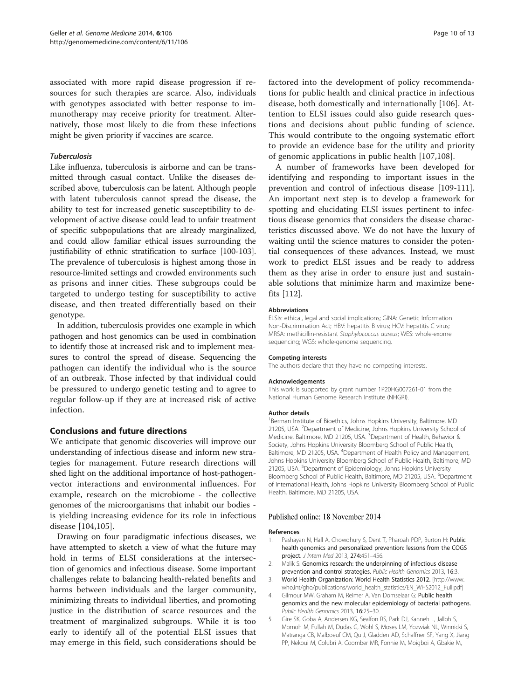<span id="page-9-0"></span>associated with more rapid disease progression if resources for such therapies are scarce. Also, individuals with genotypes associated with better response to immunotherapy may receive priority for treatment. Alternatively, those most likely to die from these infections might be given priority if vaccines are scarce.

#### Tuberculosis

Like influenza, tuberculosis is airborne and can be transmitted through casual contact. Unlike the diseases described above, tuberculosis can be latent. Although people with latent tuberculosis cannot spread the disease, the ability to test for increased genetic susceptibility to development of active disease could lead to unfair treatment of specific subpopulations that are already marginalized, and could allow familiar ethical issues surrounding the justifiability of ethnic stratification to surface [\[100-103](#page-12-0)]. The prevalence of tuberculosis is highest among those in resource-limited settings and crowded environments such as prisons and inner cities. These subgroups could be targeted to undergo testing for susceptibility to active disease, and then treated differentially based on their genotype.

In addition, tuberculosis provides one example in which pathogen and host genomics can be used in combination to identify those at increased risk and to implement measures to control the spread of disease. Sequencing the pathogen can identify the individual who is the source of an outbreak. Those infected by that individual could be pressured to undergo genetic testing and to agree to regular follow-up if they are at increased risk of active infection.

### Conclusions and future directions

We anticipate that genomic discoveries will improve our understanding of infectious disease and inform new strategies for management. Future research directions will shed light on the additional importance of host-pathogenvector interactions and environmental influences. For example, research on the microbiome - the collective genomes of the microorganisms that inhabit our bodies is yielding increasing evidence for its role in infectious disease [\[104,105](#page-12-0)].

Drawing on four paradigmatic infectious diseases, we have attempted to sketch a view of what the future may hold in terms of ELSI considerations at the intersection of genomics and infectious disease. Some important challenges relate to balancing health-related benefits and harms between individuals and the larger community, minimizing threats to individual liberties, and promoting justice in the distribution of scarce resources and the treatment of marginalized subgroups. While it is too early to identify all of the potential ELSI issues that may emerge in this field, such considerations should be

factored into the development of policy recommendations for public health and clinical practice in infectious disease, both domestically and internationally [\[106](#page-12-0)]. Attention to ELSI issues could also guide research questions and decisions about public funding of science. This would contribute to the ongoing systematic effort to provide an evidence base for the utility and priority of genomic applications in public health [[107,108\]](#page-12-0).

A number of frameworks have been developed for identifying and responding to important issues in the prevention and control of infectious disease [\[109-111](#page-12-0)]. An important next step is to develop a framework for spotting and elucidating ELSI issues pertinent to infectious disease genomics that considers the disease characteristics discussed above. We do not have the luxury of waiting until the science matures to consider the potential consequences of these advances. Instead, we must work to predict ELSI issues and be ready to address them as they arise in order to ensure just and sustainable solutions that minimize harm and maximize benefits [\[112](#page-12-0)].

#### Abbreviations

ELSIs: ethical, legal and social implications; GINA: Genetic Information Non-Discrimination Act; HBV: hepatitis B virus; HCV: hepatitis C virus; MRSA: methicillin-resistant Staphylococcus aureus; WES: whole-exome sequencing; WGS: whole-genome sequencing.

#### Competing interests

The authors declare that they have no competing interests.

#### Acknowledgements

This work is supported by grant number 1P20HG007261-01 from the National Human Genome Research Institute (NHGRI).

#### Author details

<sup>1</sup>Berman Institute of Bioethics, Johns Hopkins University, Baltimore, MD 21205, USA. <sup>2</sup> Department of Medicine, Johns Hopkins University School of Medicine, Baltimore, MD 21205, USA. <sup>3</sup>Department of Health, Behavior & Society, Johns Hopkins University Bloomberg School of Public Health, Baltimore, MD 21205, USA. <sup>4</sup>Department of Health Policy and Management Johns Hopkins University Bloomberg School of Public Health, Baltimore, MD 21205, USA. <sup>5</sup>Department of Epidemiology, Johns Hopkins University Bloomberg School of Public Health, Baltimore, MD 21205, USA. <sup>6</sup>Department of International Health, Johns Hopkins University Bloomberg School of Public Health, Baltimore, MD 21205, USA.

#### Published online: 18 November 2014

#### References

- 1. Pashayan N, Hall A, Chowdhury S, Dent T, Pharoah PDP, Burton H: Public health genomics and personalized prevention: lessons from the COGS project. J Intern Med 2013, 274:451–456.
- 2. Malik S: Genomics research: the underpinning of infectious disease prevention and control strategies. Public Health Genomics 2013, 16:3.
- 3. World Health Organization: World Health Statistics 2012. [[http://www.](http://www.who.int/gho/publications/world_health_statistics/EN_WHS2012_Full.pdf) [who.int/gho/publications/world\\_health\\_statistics/EN\\_WHS2012\\_Full.pdf](http://www.who.int/gho/publications/world_health_statistics/EN_WHS2012_Full.pdf)]
- 4. Gilmour MW, Graham M, Reimer A, Van Domselaar G: Public health genomics and the new molecular epidemiology of bacterial pathogens. Public Health Genomics 2013, 16:25–30.
- 5. Gire SK, Goba A, Andersen KG, Sealfon RS, Park DJ, Kanneh L, Jalloh S, Momoh M, Fullah M, Dudas G, Wohl S, Moses LM, Yozwiak NL, Winnicki S, Matranga CB, Malboeuf CM, Qu J, Gladden AD, Schaffner SF, Yang X, Jiang PP, Nekoui M, Colubri A, Coomber MR, Fonnie M, Moigboi A, Gbakie M,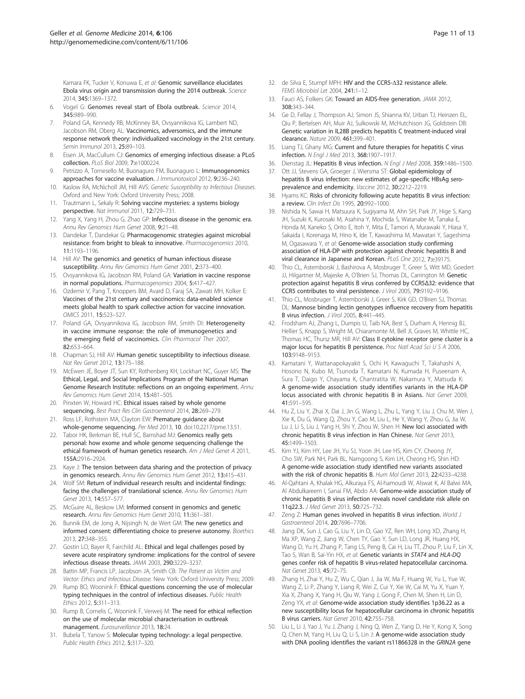<span id="page-10-0"></span>Kamara FK, Tucker V, Konuwa E, et al: Genomic surveillance elucidates Ebola virus origin and transmission during the 2014 outbreak. Science 2014, 345:1369–1372.

- Vogel G: Genomes reveal start of Ebola outbreak. Science 2014, 345:989–990.
- 7. Poland GA, Kennedy RB, McKinney BA, Ovsyannikova IG, Lambert ND, Jacobson RM, Oberg AL: Vaccinomics, adversomics, and the immune response network theory: individualized vaccinology in the 21st century. Semin Immunol 2013, 25:89–103.
- 8. Eisen JA, MacCullum CJ: Genomics of emerging infectious disease: a PLoS collection. PLoS Biol 2009, 7:e1000224.
- 9. Petrizzo A, Tornesello M, Buonaguro FM, Buonaguro L: Immunogenomics approaches for vaccine evaluation. J Immunotoxicol 2012, 9:236–240.
- 10. Kaslow RA, McNicholl JM, Hill AVS: Genetic Susceptibility to Infectious Diseases. Oxford and New York: Oxford University Press; 2008.
- 11. Trautmann L, Sekaly R: Solving vaccine mysteries: a systems biology perspective. Nat Immunol 2011, 12:729–731.
- Yang X, Yang H, Zhou G, Zhao GP: Infectious disease in the genomic era. Annu Rev Genomics Hum Genet 2008, 9:21–48.
- 13. Dandekar T, Dandekar G: Pharmacogenomic strategies against microbial resistance: from bright to bleak to innovative. Pharmacogenomics 2010, 11:1193–1196.
- 14. Hill AV: The genomics and genetics of human infectious disease susceptibility. Annu Rev Genomics Hum Genet 2001, 2:373–400.
- 15. Ovsyannikova IG, Jacobson RM, Poland GA: Variation in vaccine response in normal populations. Pharmacogenomics 2004, 5:417–427.
- 16. Ozdemir V, Pang T, Knoppers BM, Avard D, Faraj SA, Zawati MH, Kolker E: Vaccines of the 21st century and vaccinomics: data-enabled science meets global health to spark collective action for vaccine innovation. OMICS 2011, 15:523-527.
- 17. Poland GA, Ovsyannikova IG, Jacobson RM, Smith DI: Heterogeneity in vaccine immune response: the role of immunogenetics and the emerging field of vaccinomics. Clin Pharmacol Ther 2007, 82:653–664.
- 18. Chapman SJ, Hill AV: Human genetic susceptibility to infectious disease. Nat Rev Genet 2012, 13:175–188.
- 19. McEwen JE, Boyer JT, Sun KY, Rothenberg KH, Lockhart NC, Guyer MS: The Ethical, Legal, and Social Implications Program of the National Human Genome Research Institute: reflections on an ongoing experiment. Annu Rev Genomics Hum Genet 2014, 15:481–505.
- 20. Pinxten W, Howard HC: Ethical issues raised by whole genome sequencing. Best Pract Res Clin Gastroenterol 2014, 28:269–279.
- 21. Ross LF, Rothstein MA, Clayton EW: Premature guidance about whole-genome sequencing. Per Med 2013, 10. doi:10.2217/pme.13.51.
- 22. Tabor HK, Berkman BE, Hull SC, Bamshad MJ: Genomics really gets personal: how exome and whole genome sequencing challenge the ethical framework of human genetics research. Am J Med Genet A 2011, 155A:2916–2924.
- 23. Kaye J: The tension between data sharing and the protection of privacy in genomics research. Annu Rev Genomics Hum Genet 2012, 13:415–431.
- 24. Wolf SM: Return of individual research results and incidental findings: facing the challenges of translational science. Annu Rev Genomics Hum Genet 2013, 14:557–577.
- 25. McGuire AL, Beskow LM: Informed consent in genomics and genetic research. Annu Rev Genomics Hum Genet 2010, 11:361–381.
- 26. Bunnik EM, de Jong A, Nijsingh N, de Wert GM: The new genetics and informed consent: differentiating choice to preserve autonomy. Bioethics 2013, 27:348–355.
- 27. Gostin LO, Bayer R, Fairchild AL: Ethical and legal challenges posed by severe acute respiratory syndrome: implications for the control of severe infectious disease threats. JAMA 2003, 290:3229–3237.
- 28. Battin MP, Francis LP, Jacobson JA, Smith CB: The Patient as Victim and Vector: Ethics and Infectious Disease. New York: Oxford University Press; 2009.
- 29. Rump BO, Woonink F: Ethical questions concerning the use of molecular typing techniques in the control of infectious diseases. Public Health Ethics 2012, 5:311–313.
- 30. Rump B, Cornelis C, Woonink F, Verweij M: The need for ethical reflection on the use of molecular microbial characterisation in outbreak management. Eurosurveillance 2013, 18:24.
- 31. Bubela T, Yanow S: Molecular typing technology: a legal perspective. Public Health Ethics 2012, 5:317-320.
- 32. de Silva E, Stumpf MPH: HIV and the CCR5-Δ32 resistance allele. FEMS Microbiol Let 2004, 241:1–12.
- 33. Fauci AS, Folkers GK: Toward an AIDS-free generation. JAMA 2012, 308:343–344.
- 34. Ge D, Fellay J, Thompson AJ, Simon JS, Shianna KV, Urban TJ, Heinzen EL, Qiu P, Bertelsen AH, Muir AJ, Sulkowski M, McHutchison JG, Goldstein DB: Genetic variation in IL28B predicts hepatitis C treatment-induced viral clearance. Nature 2009, 461:399–401.
- 35. Liang TJ, Ghany MG: Current and future therapies for hepatitis C virus infection. N Engl J Med 2013, 368:1907–1917.
- 36. Dienstag JL: Hepatitis B virus infection. N Engl J Med 2008, 359:1486-1500.<br>37. Ott JJ, Stevens GA, Groeger J. Wiersma ST: Global enidemiology of
- Ott JJ, Stevens GA, Groeger J, Wiersma ST: Global epidemiology of hepatitis B virus infection: new estimates of age-specific HBsAg seroprevalence and endemicity. Vaccine 2012, 30:2212–2219.
- 38. Hyams KC: Risks of chronicity following acute hepatitis B virus infection: a review. Clin Infect Dis 1995, 20:992–1000.
- 39. Nishida N, Sawai H, Matsuura K, Sugiyama M, Ahn SH, Park JY, Hige S, Kang JH, Suzuki K, Kurosaki M, Asahina Y, Mochida S, Watanabe M, Tanaka E, Honda M, Kaneko S, Orito E, Itoh Y, Mita E, Tamori A, Murawaki Y, Hiasa Y, Sakaida I, Korenaga M, Hino K, Ide T, Kawashima M, Mawatari Y, Sageshima M, Ogasawara Y, et al: Genome-wide association study confirming association of HLA-DP with protection against chronic hepatitis B and viral clearance in Japanese and Korean. PLoS One 2012, 7:e39175.
- 40. Thio CL, Astemborski J, Bashirova A, Mosbruger T, Greer S, Witt MD, Goedert JJ, Hilgartner M, Majeske A, O'Brien SJ, Thomas DL, Carrington M: Genetic protection against hepatitis B virus conferred by CCR5Δ32: evidence that CCR5 contributes to viral persistence. J Virol 2005, 79:9192–9196.
- 41. Thio CL, Mosbruger T, Astemborski J, Greer S, Kirk GD, O'Brien SJ, Thomas DL: Mannose binding lectin genotypes influence recovery from hepatitis B virus infection. J Virol 2005, 8:441–445.
- 42. Frodsham AJ, Zhang L, Dumpis U, Taib NA, Best S, Durham A, Hennig BJ, Hellier S, Knapp S, Wright M, Chiaramonte M, Bell JI, Graves M, Whittle HC, Thomas HC, Thursz MR, Hill AV: Class II cytokine receptor gene cluster is a major locus for hepatitis B persistence. Proc Natl Acad Sci U S A 2006, 103:9148–9153.
- 43. Kamatani Y, Wattanapokayakit S, Ochi H, Kawaguchi T, Takahashi A, Hosono N, Kubo M, Tsunoda T, Kamatani N, Kumada H, Puseenam A, Sura T, Daigo Y, Chayama K, Chantratita W, Nakamura Y, Matsuda K: A genome-wide association study identifies variants in the HLA-DP locus associated with chronic hepatitis B in Asians. Nat Genet 2009, 41:591–595.
- 44. Hu Z, Liu Y, Zhai X, Dai J, Jin G, Wang L, Zhu L, Yang Y, Liu J, Chu M, Wen J, Xie K, Du G, Wang Q, Zhou Y, Cao M, Liu L, He Y, Wang Y, Zhou G, Jia W, Lu J, Li S, Liu J, Yang H, Shi Y, Zhou W, Shen H: New loci associated with chronic hepatitis B virus infection in Han Chinese. Nat Genet 2013, 45:1499–1503.
- 45. Kim YJ, Kim HY, Lee JH, Yu SJ, Yoon JH, Lee HS, Kim CY, Cheong JY, Cho SW, Park NH, Park BL, Namgoong S, Kim LH, Cheong HS, Shin HD: A genome-wide association study identified new variants associated with the risk of chronic hepatitis B. Hum Mol Genet 2013, 22:4233-4238.
- 46. Al-Qahtani A, Khalak HG, Alkuraya FS, Al-hamoudi W, Alswat K, Al Balwi MA, Al Abdulkareem I, Sanai FM, Abdo AA: Genome-wide association study of chronic hepatitis B virus infection reveals novel candidate risk allele on 11q22.3. J Med Genet 2013, 50:725-732.
- 47. Zeng Z: Human genes involved in hepatitis B virus infection. World J Gastroenterol 2014, 20:7696–7706.
- 48. Jiang DK, Sun J, Cao G, Liu Y, Lin D, Gao YZ, Ren WH, Long XD, Zhang H, Ma XP, Wang Z, Jiang W, Chen TY, Gao Y, Sun LD, Long JR, Huang HX, Wang D, Yu H, Zhang P, Tang LS, Peng B, Cai H, Liu TT, Zhou P, Liu F, Lin X, Tao S, Wan B, Sai-Yin HX, et al: Genetic variants in STAT4 and HLA-DQ genes confer risk of hepatitis B virus-related hepatocellular carcinoma. Nat Genet 2013, 45:72–75.
- 49. Zhang H, Zhai Y, Hu Z, Wu C, Qian J, Jia W, Ma F, Huang W, Yu L, Yue W, Wang Z, Li P, Zhang Y, Liang R, Wei Z, Cui Y, Xie W, Cai M, Yu X, Yuan Y, Xia X, Zhang X, Yang H, Qiu W, Yang J, Gong F, Chen M, Shen H, Lin D, Zeng YX, et al: Genome-wide association study identifies 1p36.22 as a new susceptibility locus for hepatocellular carcinoma in chronic hepatitis B virus carriers. Nat Genet 2010, 42:755–758.
- 50. Liu L, Li J, Yao J, Yu J, Zhang J, Ning Q, Wen Z, Yang D, He Y, Kong X, Song Q, Chen M, Yang H, Liu Q, Li S, Lin J: A genome-wide association study with DNA pooling identifies the variant rs11866328 in the GRIN2A gene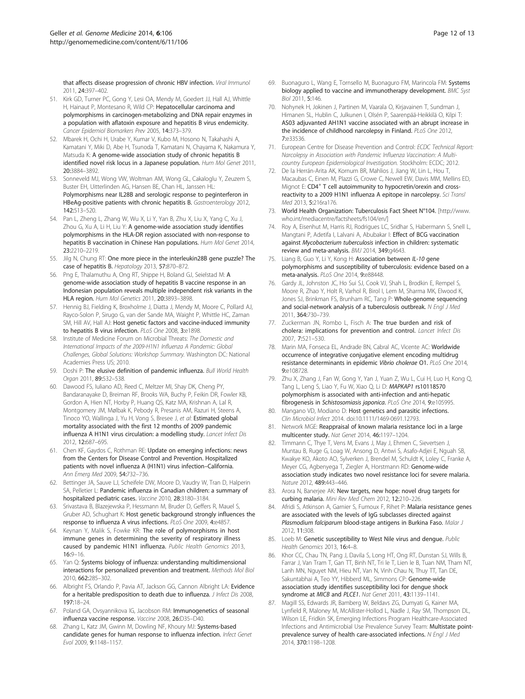<span id="page-11-0"></span>that affects disease progression of chronic HBV infection. Viral Immunol 2011, 24:397–402.

- 51. Kirk GD, Turner PC, Gong Y, Lesi OA, Mendy M, Goedert JJ, Hall AJ, Whittle H, Hainaut P, Montesano R, Wild CP: Hepatocellular carcinoma and polymorphisms in carcinogen-metabolizing and DNA repair enzymes in a population with aflatoxin exposure and hepatitis B virus endemicity. Cancer Epidemiol Biomarkers Prev 2005, 14:373–379.
- 52. Mbarek H, Ochi H, Urabe Y, Kumar V, Kubo M, Hosono N, Takahashi A, Kamatani Y, Miki D, Abe H, Tsunoda T, Kamatani N, Chayama K, Nakamura Y, Matsuda K: A genome-wide association study of chronic hepatitis B identified novel risk locus in a Japanese population. Hum Mol Genet 2011, 20:3884–3892.
- 53. Sonneveld MJ, Wong VW, Woltman AM, Wong GL, Cakaloglu Y, Zeuzem S, Buster EH, Uitterlinden AG, Hansen BE, Chan HL, Janssen HL: Polymorphisms near IL28B and serologic response to peginterferon in HBeAg-positive patients with chronic hepatitis B. Gastroenterology 2012, 142:513–520.
- 54. Pan L, Zheng L, Zhang W, Wu X, Li Y, Yan B, Zhu X, Liu X, Yang C, Xu J, Zhou G, Xu A, Li H, Liu Y: A genome-wide association study identifies polymorphisms in the HLA-DR region associated with non-response to hepatitis B vaccination in Chinese Han populations. Hum Mol Genet 2014, 23:2210–2219.
- 55. Jilg N, Chung RT: One more piece in the interleukin28B gene puzzle? The case of hepatitis B. Hepatology 2013, 57:870–872.
- 56. Png E, Thalamuthu A, Ong RT, Shippe H, Boland GJ, Seielstad M: A genome-wide association study of hepatitis B vaccine response in an Indonesian population reveals multiple independent risk variants in the HLA region. Hum Mol Genetics 2011, 20:3893–3898.
- 57. Hennig BJ, Fielding K, Broxholme J, Diatta J, Mendy M, Moore C, Pollard AJ, Rayco-Solon P, Sirugo G, van der Sande MA, Waight P, Whittle HC, Zaman SM, Hill AV, Hall AJ: Host genetic factors and vaccine-induced immunity to hepatitis B virus infection. PLoS One 2008, 3:e1898.
- 58. Institute of Medicine Forum on Microbial Threats: The Domestic and International Impacts of the 2009-H1N1 Influenza A Pandemic: Global Challenges, Global Solutions: Workshop Summary. Washington DC: National Academies Press US; 2010.
- 59. Doshi P: The elusive definition of pandemic influenza. Bull World Health Organ 2011, 89:532–538.
- 60. Dawood FS, Iuliano AD, Reed C, Meltzer MI, Shay DK, Cheng PY, Bandaranayake D, Breiman RF, Brooks WA, Buchy P, Feikin DR, Fowler KB, Gordon A, Hien NT, Horby P, Huang QS, Katz MA, Krishnan A, Lal R, Montgomery JM, Mølbak K, Pebody R, Presanis AM, Razuri H, Steens A, Tinoco YO, Wallinga J, Yu H, Vong S, Bresee J, et al: Estimated global mortality associated with the first 12 months of 2009 pandemic influenza A H1N1 virus circulation: a modelling study. Lancet Infect Dis 2012, 12:687–695.
- 61. Chen KF, Gaydos C, Rothman RE: Update on emerging infections: news from the Centers for Disease Control and Prevention. Hospitalized patients with novel influenza A (H1N1) virus infection–California. Ann Emerg Med 2009, 54:732-736.
- 62. Bettinger JA, Sauve LJ, Scheifele DW, Moore D, Vaudry W, Tran D, Halperin SA, Pelletier L: Pandemic influenza in Canadian children: a summary of hospitalized pediatric cases. Vaccine 2010, 28:3180–3184.
- 63. Srivastava B, Blazejewska P, Hessmann M, Bruder D, Geffers R, Mauel S, Gruber AD, Schughart K: Host genetic background strongly influences the response to influenza A virus infections. PLoS One 2009, 4:e4857.
- 64. Keynan Y, Malik S, Fowke KR: The role of polymorphisms in host immune genes in determining the severity of respiratory illness caused by pandemic H1N1 influenza. Public Health Genomics 2013, 16:9–16.
- 65. Yan Q: Systems biology of influenza: understanding multidimensional interactions for personalized prevention and treatment. Methods Mol Biol 2010, 662:285–302.
- 66. Albright FS, Orlando P, Pavia AT, Jackson GG, Cannon Albright LA: Evidence for a heritable predisposition to death due to influenza. J Infect Dis 2008, 197:18–24.
- 67. Poland GA, Ovsyannikova IG, Jacobson RM: Immunogenetics of seasonal influenza vaccine response. Vaccine 2008, 26:D35–D40.
- 68. Zhang L, Katz JM, Gwinn M, Dowling NF, Khoury MJ: Systems-based candidate genes for human response to influenza infection. Infect Genet Evol 2009, 9:1148–1157.
- 69. Buonaguro L, Wang E, Tornsello M, Buonaguro FM, Marincola FM: Systems biology applied to vaccine and immunotherapy development. BMC Syst Biol 2011, 5:146.
- 70. Nohynek H, Jokinen J, Partinen M, Vaarala O, Kirjavainen T, Sundman J, Himanen SL, Hublin C, Julkunen I, Olsén P, Saarenpää-Heikkilä O, Kilpi T: AS03 adjuvanted AH1N1 vaccine associated with an abrupt increase in the incidence of childhood narcolepsy in Finland. PLoS One 2012, 7:e33536.
- 71. European Centre for Disease Prevention and Control: ECDC Technical Report: Narcolepsy in Association with Pandemic Influenza Vaccination: A Multicountry European Epidemiological Investigation. Stockholm: ECDC; 2012.
- 72. De la Herrán-Arita AK, Kornum BR, Mahlios J, Jiang W, Lin L, Hou T, Macaubas C, Einen M, Plazzi G, Crowe C, Newell EW, Davis MM, Mellins ED, Mignot E: CD4<sup>+</sup> T cell autoimmunity to hypocretin/orexin and crossreactivity to a 2009 H1N1 influenza A epitope in narcolepsy. Sci Transl Med 2013, 5:216ra176.
- 73. World Health Organization: Tuberculosis Fact Sheet N°104. [[http://www.](http://www.who.int/mediacentre/factsheets/fs104/en/) [who.int/mediacentre/factsheets/fs104/en/](http://www.who.int/mediacentre/factsheets/fs104/en/)]
- 74. Roy A, Eisenhut M, Harris RJ, Rodrigues LC, Sridhar S, Habermann S, Snell L, Mangtani P, Adetifa I, Lalvani A, Abubakar I: Effect of BCG vaccination against Mycobacterium tuberculosis infection in children: systematic review and meta-analysis. BMJ 2014, 349:g4643.
- 75. Liang B, Guo Y, Li Y, Kong H: Association between IL-10 gene polymorphisms and susceptibility of tuberculosis: evidence based on a meta-analysis. PLoS One 2014, 9:e88448.
- 76. Gardy JL, Johnston JC, Ho Sui SJ, Cook VJ, Shah L, Brodkin E, Rempel S, Moore R, Zhao Y, Holt R, Varhol R, Birol I, Lem M, Sharma MK, Elwood K, Jones SJ, Brinkman FS, Brunham RC, Tang P: Whole-genome sequencing and social-network analysis of a tuberculosis outbreak. N Engl J Med 2011, 364:730–739.
- 77. Zuckerman JN, Rombo L, Fisch A: The true burden and risk of cholera: implications for prevention and control. Lancet Infect Dis 2007, 7:521–530.
- 78. Marin MA, Fonseca EL, Andrade BN, Cabral AC, Vicente AC: Worldwide occurrence of integrative conjugative element encoding multidrug resistance determinants in epidemic Vibrio cholerae O1. PLoS One 2014, 9:e108728.
- 79. Zhu X, Zhang J, Fan W, Gong Y, Yan J, Yuan Z, Wu L, Cui H, Luo H, Kong Q, Tang L, Leng S, Liao Y, Fu W, Xiao Q, Li D: MAPKAP1 rs10118570 polymorphism is associated with anti-infection and anti-hepatic fibrogenesis in Schistosomiasis japonica. PLoS One 2014, 9:e105995.
- 80. Mangano VD, Modiano D: Host genetics and parasitic infections. Clin Microbiol Infect 2014. doi:10.1111/1469-0691.12793.
- 81. Network MGE: Reappraisal of known malaria resistance loci in a large multicenter study. Nat Genet 2014, 46:1197–1204.
- 82. Timmann C, Thye T, Vens M, Evans J, May J, Ehmen C, Sievertsen J, Muntau B, Ruge G, Loag W, Ansong D, Antwi S, Asafo-Adjei E, Nguah SB, Kwakye KO, Akoto AO, Sylverken J, Brendel M, Schuldt K, Loley C, Franke A, Meyer CG, Agbenyega T, Ziegler A, Horstmann RD: Genome-wide association study indicates two novel resistance loci for severe malaria. Nature 2012, 489:443–446.
- 83. Arora N, Banerjee AK: New targets, new hope: novel drug targets for curbing malaria. Mini Rev Med Chem 2012, 12:210–226.
- 84. Afridi S, Atkinson A, Garnier S, Fumoux F, Rihet P: Malaria resistance genes are associated with the levels of IgG subclasses directed against Plasmodium falciparum blood-stage antigens in Burkina Faso. Malar J 2012, 11:308.
- 85. Loeb M: Genetic susceptibility to West Nile virus and dengue. Public Health Genomics 2013, 16:4–8.
- 86. Khor CC, Chau TN, Pang J, Davila S, Long HT, Ong RT, Dunstan SJ, Wills B, Farrar J, Van Tram T, Gan TT, Binh NT, Tri le T, Lien le B, Tuan NM, Tham NT, Lanh MN, Nguyet NM, Hieu NT, Van N, Vinh Chau N, Thuy TT, Tan DE, Sakuntabhai A, Teo YY, Hibberd ML, Simmons CP: Genome-wide association study identifies susceptibility loci for dengue shock syndrome at MICB and PLCE1. Nat Genet 2011, 43:1139–1141.
- 87. Magill SS, Edwards JR, Bamberg W, Beldavs ZG, Dumyati G, Kainer MA, Lynfield R, Maloney M, McAllister-Hollod L, Nadle J, Ray SM, Thompson DL, Wilson LE, Fridkin SK, Emerging Infections Program Healthcare-Associated Infections and Antimicrobial Use Prevalence Survey Team: Multistate pointprevalence survey of health care-associated infections. N Engl J Med 2014, 370:1198–1208.